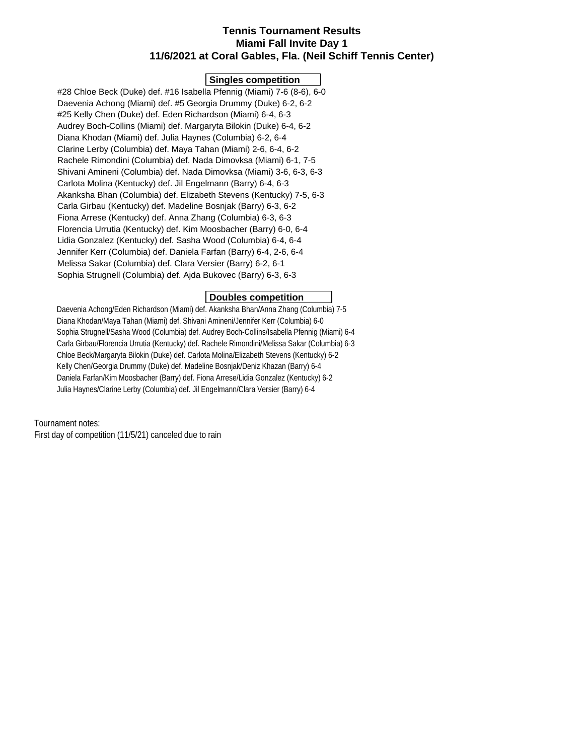## **Tennis Tournament Results Miami Fall Invite Day 1 11/6/2021 at Coral Gables, Fla. (Neil Schiff Tennis Center)**

### **Singles competition**

 #28 Chloe Beck (Duke) def. #16 Isabella Pfennig (Miami) 7-6 (8-6), 6-0 Daevenia Achong (Miami) def. #5 Georgia Drummy (Duke) 6-2, 6-2 #25 Kelly Chen (Duke) def. Eden Richardson (Miami) 6-4, 6-3 Audrey Boch-Collins (Miami) def. Margaryta Bilokin (Duke) 6-4, 6-2 Diana Khodan (Miami) def. Julia Haynes (Columbia) 6-2, 6-4 Clarine Lerby (Columbia) def. Maya Tahan (Miami) 2-6, 6-4, 6-2 Rachele Rimondini (Columbia) def. Nada Dimovksa (Miami) 6-1, 7-5 Shivani Amineni (Columbia) def. Nada Dimovksa (Miami) 3-6, 6-3, 6-3 Carlota Molina (Kentucky) def. Jil Engelmann (Barry) 6-4, 6-3 Akanksha Bhan (Columbia) def. Elizabeth Stevens (Kentucky) 7-5, 6-3 Carla Girbau (Kentucky) def. Madeline Bosnjak (Barry) 6-3, 6-2 Fiona Arrese (Kentucky) def. Anna Zhang (Columbia) 6-3, 6-3 Florencia Urrutia (Kentucky) def. Kim Moosbacher (Barry) 6-0, 6-4 Lidia Gonzalez (Kentucky) def. Sasha Wood (Columbia) 6-4, 6-4 Jennifer Kerr (Columbia) def. Daniela Farfan (Barry) 6-4, 2-6, 6-4 Melissa Sakar (Columbia) def. Clara Versier (Barry) 6-2, 6-1 Sophia Strugnell (Columbia) def. Ajda Bukovec (Barry) 6-3, 6-3

## **Doubles competition**

 Daevenia Achong/Eden Richardson (Miami) def. Akanksha Bhan/Anna Zhang (Columbia) 7-5 Diana Khodan/Maya Tahan (Miami) def. Shivani Amineni/Jennifer Kerr (Columbia) 6-0 Sophia Strugnell/Sasha Wood (Columbia) def. Audrey Boch-Collins/Isabella Pfennig (Miami) 6-4 Carla Girbau/Florencia Urrutia (Kentucky) def. Rachele Rimondini/Melissa Sakar (Columbia) 6-3 Chloe Beck/Margaryta Bilokin (Duke) def. Carlota Molina/Elizabeth Stevens (Kentucky) 6-2 Kelly Chen/Georgia Drummy (Duke) def. Madeline Bosnjak/Deniz Khazan (Barry) 6-4 Daniela Farfan/Kim Moosbacher (Barry) def. Fiona Arrese/Lidia Gonzalez (Kentucky) 6-2 Julia Haynes/Clarine Lerby (Columbia) def. Jil Engelmann/Clara Versier (Barry) 6-4

Tournament notes:

First day of competition (11/5/21) canceled due to rain